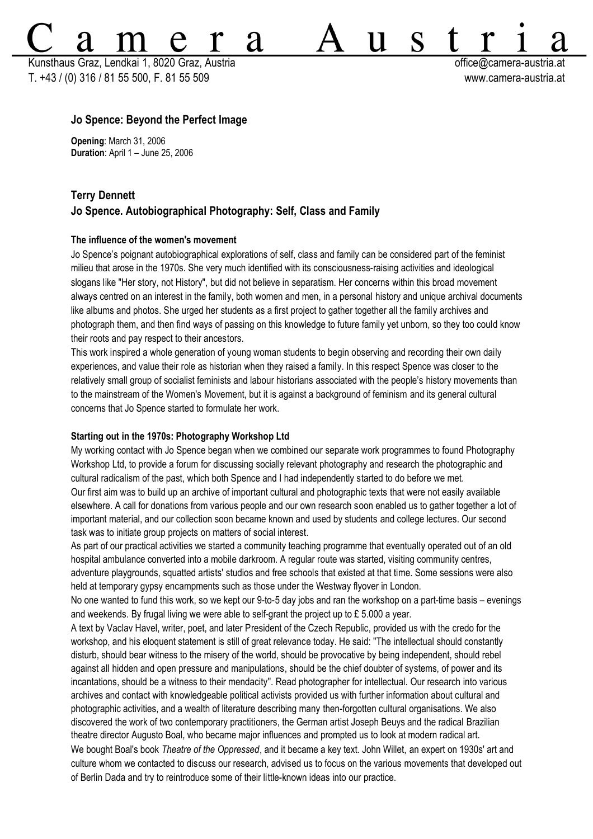Kunsthaus Graz, Lendkai 1, 8020 Graz, Austria **bereikairen austria eta austria eta austria** eta austria eta austria T. +43 / (0) 316 / 81 55 500, F. 81 55 509 www.camera-austria.at

S

11

# **Jo Spence: Beyond the Perfect Image**

**Opening**: March 31, 2006 **Duration**: April 1 – June 25, 2006

# **Terry Dennett Jo Spence. Autobiographical Photography: Self, Class and Family**

2d

### **The influence of the women's movement**

Jo Spence's poignant autobiographical explorations of self, class and family can be considered part of the feminist milieu that arose in the 1970s. She very much identified with its consciousness-raising activities and ideological slogans like "Her story, not History", but did not believe in separatism. Her concerns within this broad movement always centred on an interest in the family, both women and men, in a personal history and unique archival documents like albums and photos. She urged her students as a first project to gather together all the family archives and photograph them, and then find ways of passing on this knowledge to future family yet unborn, so they too could know their roots and pay respect to their ancestors.

This work inspired a whole generation of young woman students to begin observing and recording their own daily experiences, and value their role as historian when they raised a family. In this respect Spence was closer to the relatively small group of socialist feminists and labour historians associated with the people's history movements than to the mainstream of the Women's Movement, but it is against a background of feminism and its general cultural concerns that Jo Spence started to formulate her work.

#### **Starting out in the 1970s: Photography Workshop Ltd**

My working contact with Jo Spence began when we combined our separate work programmes to found Photography Workshop Ltd, to provide a forum for discussing socially relevant photography and research the photographic and cultural radicalism of the past, which both Spence and I had independently started to do before we met. Our first aim was to build up an archive of important cultural and photographic texts that were not easily available elsewhere. A call for donations from various people and our own research soon enabled us to gather together a lot of important material, and our collection soon became known and used by students and college lectures. Our second task was to initiate group projects on matters of social interest.

As part of our practical activities we started a community teaching programme that eventually operated out of an old hospital ambulance converted into a mobile darkroom. A regular route was started, visiting community centres, adventure playgrounds, squatted artists' studios and free schools that existed at that time. Some sessions were also held at temporary gypsy encampments such as those under the Westway flyover in London.

No one wanted to fund this work, so we kept our 9-to-5 day jobs and ran the workshop on a part-time basis – evenings and weekends. By frugal living we were able to self-grant the project up to £ 5.000 a year.

A text by Vaclav Havel, writer, poet, and later President of the Czech Republic, provided us with the credo for the workshop, and his eloquent statement is still of great relevance today. He said: "The intellectual should constantly disturb, should bear witness to the misery of the world, should be provocative by being independent, should rebel against all hidden and open pressure and manipulations, should be the chief doubter of systems, of power and its incantations, should be a witness to their mendacity". Read photographer for intellectual. Our research into various archives and contact with knowledgeable political activists provided us with further information about cultural and photographic activities, and a wealth of literature describing many then-forgotten cultural organisations. We also discovered the work of two contemporary practitioners, the German artist Joseph Beuys and the radical Brazilian theatre director Augusto Boal, who became major influences and prompted us to look at modern radical art. We bought Boal's book *Theatre of the Oppressed*, and it became a key text. John Willet, an expert on 1930s' art and culture whom we contacted to discuss our research, advised us to focus on the various movements that developed out of Berlin Dada and try to reintroduce some of their little-known ideas into our practice.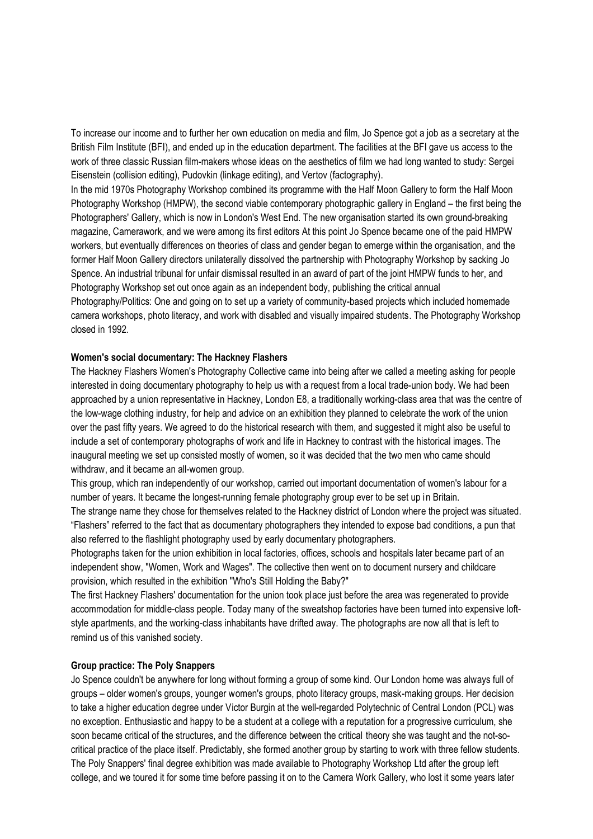To increase our income and to further her own education on media and film, Jo Spence got a job as a secretary at the British Film Institute (BFI), and ended up in the education department. The facilities at the BFI gave us access to the work of three classic Russian film-makers whose ideas on the aesthetics of film we had long wanted to study: Sergei Eisenstein (collision editing), Pudovkin (linkage editing), and Vertov (factography).

In the mid 1970s Photography Workshop combined its programme with the Half Moon Gallery to form the Half Moon Photography Workshop (HMPW), the second viable contemporary photographic gallery in England – the first being the Photographers' Gallery, which is now in London's West End. The new organisation started its own ground-breaking magazine, Camerawork, and we were among its first editors At this point Jo Spence became one of the paid HMPW workers, but eventually differences on theories of class and gender began to emerge within the organisation, and the former Half Moon Gallery directors unilaterally dissolved the partnership with Photography Workshop by sacking Jo Spence. An industrial tribunal for unfair dismissal resulted in an award of part of the joint HMPW funds to her, and Photography Workshop set out once again as an independent body, publishing the critical annual Photography/Politics: One and going on to set up a variety of community-based projects which included homemade camera workshops, photo literacy, and work with disabled and visually impaired students. The Photography Workshop closed in 1992.

### **Women's social documentary: The Hackney Flashers**

The Hackney Flashers Women's Photography Collective came into being after we called a meeting asking for people interested in doing documentary photography to help us with a request from a local trade-union body. We had been approached by a union representative in Hackney, London E8, a traditionally working-class area that was the centre of the low-wage clothing industry, for help and advice on an exhibition they planned to celebrate the work of the union over the past fifty years. We agreed to do the historical research with them, and suggested it might also be useful to include a set of contemporary photographs of work and life in Hackney to contrast with the historical images. The inaugural meeting we set up consisted mostly of women, so it was decided that the two men who came should withdraw, and it became an all-women group.

This group, which ran independently of our workshop, carried out important documentation of women's labour for a number of years. It became the longest-running female photography group ever to be set up in Britain.

The strange name they chose for themselves related to the Hackney district of London where the project was situated. "Flashers" referred to the fact that as documentary photographers they intended to expose bad conditions, a pun that also referred to the flashlight photography used by early documentary photographers.

Photographs taken for the union exhibition in local factories, offices, schools and hospitals later became part of an independent show, "Women, Work and Wages". The collective then went on to document nursery and childcare provision, which resulted in the exhibition "Who's Still Holding the Baby?"

The first Hackney Flashers' documentation for the union took place just before the area was regenerated to provide accommodation for middle-class people. Today many of the sweatshop factories have been turned into expensive loftstyle apartments, and the working-class inhabitants have drifted away. The photographs are now all that is left to remind us of this vanished society.

#### **Group practice: The Poly Snappers**

Jo Spence couldn't be anywhere for long without forming a group of some kind. Our London home was always full of groups – older women's groups, younger women's groups, photo literacy groups, mask-making groups. Her decision to take a higher education degree under Victor Burgin at the well-regarded Polytechnic of Central London (PCL) was no exception. Enthusiastic and happy to be a student at a college with a reputation for a progressive curriculum, she soon became critical of the structures, and the difference between the critical theory she was taught and the not-socritical practice of the place itself. Predictably, she formed another group by starting to work with three fellow students. The Poly Snappers' final degree exhibition was made available to Photography Workshop Ltd after the group left college, and we toured it for some time before passing it on to the Camera Work Gallery, who lost it some years later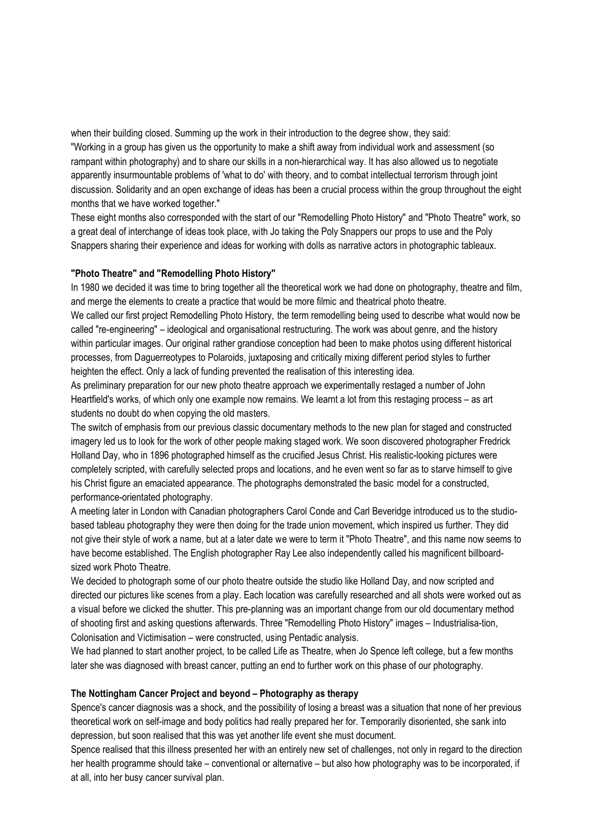when their building closed. Summing up the work in their introduction to the degree show, they said: "Working in a group has given us the opportunity to make a shift away from individual work and assessment (so rampant within photography) and to share our skills in a non-hierarchical way. It has also allowed us to negotiate apparently insurmountable problems of 'what to do' with theory, and to combat intellectual terrorism through joint discussion. Solidarity and an open exchange of ideas has been a crucial process within the group throughout the eight months that we have worked together."

These eight months also corresponded with the start of our "Remodelling Photo History" and "Photo Theatre" work, so a great deal of interchange of ideas took place, with Jo taking the Poly Snappers our props to use and the Poly Snappers sharing their experience and ideas for working with dolls as narrative actors in photographic tableaux.

# **"Photo Theatre" and "Remodelling Photo History"**

In 1980 we decided it was time to bring together all the theoretical work we had done on photography, theatre and film, and merge the elements to create a practice that would be more filmic and theatrical photo theatre.

We called our first project Remodelling Photo History, the term remodelling being used to describe what would now be called "re-engineering" – ideological and organisational restructuring. The work was about genre, and the history within particular images. Our original rather grandiose conception had been to make photos using different historical processes, from Daguerreotypes to Polaroids, juxtaposing and critically mixing different period styles to further heighten the effect. Only a lack of funding prevented the realisation of this interesting idea.

As preliminary preparation for our new photo theatre approach we experimentally restaged a number of John Heartfield's works, of which only one example now remains. We learnt a lot from this restaging process – as art students no doubt do when copying the old masters.

The switch of emphasis from our previous classic documentary methods to the new plan for staged and constructed imagery led us to look for the work of other people making staged work. We soon discovered photographer Fredrick Holland Day, who in 1896 photographed himself as the crucified Jesus Christ. His realistic-looking pictures were completely scripted, with carefully selected props and locations, and he even went so far as to starve himself to give his Christ figure an emaciated appearance. The photographs demonstrated the basic model for a constructed, performance-orientated photography.

A meeting later in London with Canadian photographers Carol Conde and Carl Beveridge introduced us to the studiobased tableau photography they were then doing for the trade union movement, which inspired us further. They did not give their style of work a name, but at a later date we were to term it "Photo Theatre", and this name now seems to have become established. The English photographer Ray Lee also independently called his magnificent billboardsized work Photo Theatre.

We decided to photograph some of our photo theatre outside the studio like Holland Day, and now scripted and directed our pictures like scenes from a play. Each location was carefully researched and all shots were worked out as a visual before we clicked the shutter. This pre-planning was an important change from our old documentary method of shooting first and asking questions afterwards. Three "Remodelling Photo History" images – Industrialisa-tion, Colonisation and Victimisation – were constructed, using Pentadic analysis.

We had planned to start another project, to be called Life as Theatre, when Jo Spence left college, but a few months later she was diagnosed with breast cancer, putting an end to further work on this phase of our photography.

# **The Nottingham Cancer Project and beyond – Photography as therapy**

Spence's cancer diagnosis was a shock, and the possibility of losing a breast was a situation that none of her previous theoretical work on self-image and body politics had really prepared her for. Temporarily disoriented, she sank into depression, but soon realised that this was yet another life event she must document.

Spence realised that this illness presented her with an entirely new set of challenges, not only in regard to the direction her health programme should take – conventional or alternative – but also how photography was to be incorporated, if at all, into her busy cancer survival plan.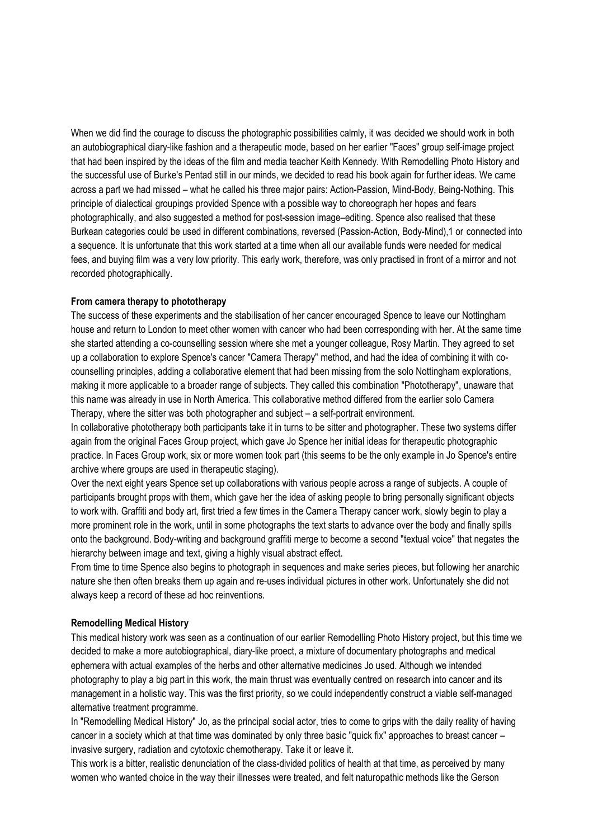When we did find the courage to discuss the photographic possibilities calmly, it was decided we should work in both an autobiographical diary-like fashion and a therapeutic mode, based on her earlier "Faces" group self-image project that had been inspired by the ideas of the film and media teacher Keith Kennedy. With Remodelling Photo History and the successful use of Burke's Pentad still in our minds, we decided to read his book again for further ideas. We came across a part we had missed – what he called his three major pairs: Action-Passion, Mind-Body, Being-Nothing. This principle of dialectical groupings provided Spence with a possible way to choreograph her hopes and fears photographically, and also suggested a method for post-session image–editing. Spence also realised that these Burkean categories could be used in different combinations, reversed (Passion-Action, Body-Mind),1 or connected into a sequence. It is unfortunate that this work started at a time when all our available funds were needed for medical fees, and buying film was a very low priority. This early work, therefore, was only practised in front of a mirror and not recorded photographically.

## **From camera therapy to phototherapy**

The success of these experiments and the stabilisation of her cancer encouraged Spence to leave our Nottingham house and return to London to meet other women with cancer who had been corresponding with her. At the same time she started attending a co-counselling session where she met a younger colleague, Rosy Martin. They agreed to set up a collaboration to explore Spence's cancer "Camera Therapy" method, and had the idea of combining it with cocounselling principles, adding a collaborative element that had been missing from the solo Nottingham explorations, making it more applicable to a broader range of subjects. They called this combination "Phototherapy", unaware that this name was already in use in North America. This collaborative method differed from the earlier solo Camera Therapy, where the sitter was both photographer and subject – a self-portrait environment.

In collaborative phototherapy both participants take it in turns to be sitter and photographer. These two systems differ again from the original Faces Group project, which gave Jo Spence her initial ideas for therapeutic photographic practice. In Faces Group work, six or more women took part (this seems to be the only example in Jo Spence's entire archive where groups are used in therapeutic staging).

Over the next eight years Spence set up collaborations with various people across a range of subjects. A couple of participants brought props with them, which gave her the idea of asking people to bring personally significant objects to work with. Graffiti and body art, first tried a few times in the Camera Therapy cancer work, slowly begin to play a more prominent role in the work, until in some photographs the text starts to advance over the body and finally spills onto the background. Body-writing and background graffiti merge to become a second "textual voice" that negates the hierarchy between image and text, giving a highly visual abstract effect.

From time to time Spence also begins to photograph in sequences and make series pieces, but following her anarchic nature she then often breaks them up again and re-uses individual pictures in other work. Unfortunately she did not always keep a record of these ad hoc reinventions.

### **Remodelling Medical History**

This medical history work was seen as a continuation of our earlier Remodelling Photo History project, but this time we decided to make a more autobiographical, diary-like proect, a mixture of documentary photographs and medical ephemera with actual examples of the herbs and other alternative medicines Jo used. Although we intended photography to play a big part in this work, the main thrust was eventually centred on research into cancer and its management in a holistic way. This was the first priority, so we could independently construct a viable self-managed alternative treatment programme.

In "Remodelling Medical History" Jo, as the principal social actor, tries to come to grips with the daily reality of having cancer in a society which at that time was dominated by only three basic "quick fix" approaches to breast cancer – invasive surgery, radiation and cytotoxic chemotherapy. Take it or leave it.

This work is a bitter, realistic denunciation of the class-divided politics of health at that time, as perceived by many women who wanted choice in the way their illnesses were treated, and felt naturopathic methods like the Gerson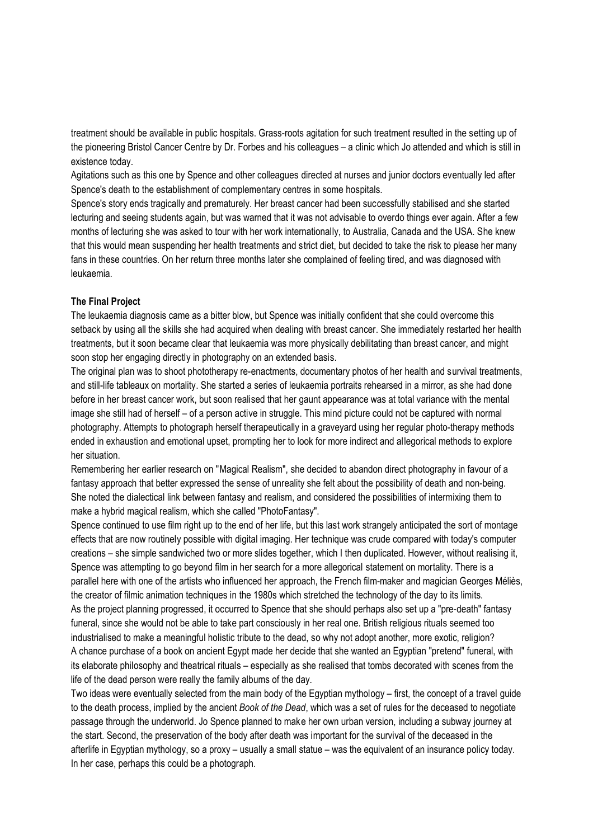treatment should be available in public hospitals. Grass-roots agitation for such treatment resulted in the setting up of the pioneering Bristol Cancer Centre by Dr. Forbes and his colleagues – a clinic which Jo attended and which is still in existence today.

Agitations such as this one by Spence and other colleagues directed at nurses and junior doctors eventually led after Spence's death to the establishment of complementary centres in some hospitals.

Spence's story ends tragically and prematurely. Her breast cancer had been successfully stabilised and she started lecturing and seeing students again, but was warned that it was not advisable to overdo things ever again. After a few months of lecturing she was asked to tour with her work internationally, to Australia, Canada and the USA. She knew that this would mean suspending her health treatments and strict diet, but decided to take the risk to please her many fans in these countries. On her return three months later she complained of feeling tired, and was diagnosed with leukaemia.

### **The Final Project**

The leukaemia diagnosis came as a bitter blow, but Spence was initially confident that she could overcome this setback by using all the skills she had acquired when dealing with breast cancer. She immediately restarted her health treatments, but it soon became clear that leukaemia was more physically debilitating than breast cancer, and might soon stop her engaging directly in photography on an extended basis.

The original plan was to shoot phototherapy re-enactments, documentary photos of her health and survival treatments, and still-life tableaux on mortality. She started a series of leukaemia portraits rehearsed in a mirror, as she had done before in her breast cancer work, but soon realised that her gaunt appearance was at total variance with the mental image she still had of herself – of a person active in struggle. This mind picture could not be captured with normal photography. Attempts to photograph herself therapeutically in a graveyard using her regular photo-therapy methods ended in exhaustion and emotional upset, prompting her to look for more indirect and allegorical methods to explore her situation.

Remembering her earlier research on "Magical Realism", she decided to abandon direct photography in favour of a fantasy approach that better expressed the sense of unreality she felt about the possibility of death and non-being. She noted the dialectical link between fantasy and realism, and considered the possibilities of intermixing them to make a hybrid magical realism, which she called "PhotoFantasy".

Spence continued to use film right up to the end of her life, but this last work strangely anticipated the sort of montage effects that are now routinely possible with digital imaging. Her technique was crude compared with today's computer creations – she simple sandwiched two or more slides together, which I then duplicated. However, without realising it, Spence was attempting to go beyond film in her search for a more allegorical statement on mortality. There is a parallel here with one of the artists who influenced her approach, the French film-maker and magician Georges Méliès, the creator of filmic animation techniques in the 1980s which stretched the technology of the day to its limits. As the project planning progressed, it occurred to Spence that she should perhaps also set up a "pre-death" fantasy funeral, since she would not be able to take part consciously in her real one. British religious rituals seemed too industrialised to make a meaningful holistic tribute to the dead, so why not adopt another, more exotic, religion? A chance purchase of a book on ancient Egypt made her decide that she wanted an Egyptian "pretend" funeral, with its elaborate philosophy and theatrical rituals – especially as she realised that tombs decorated with scenes from the life of the dead person were really the family albums of the day.

Two ideas were eventually selected from the main body of the Egyptian mythology – first, the concept of a travel guide to the death process, implied by the ancient *Book of the Dead*, which was a set of rules for the deceased to negotiate passage through the underworld. Jo Spence planned to make her own urban version, including a subway journey at the start. Second, the preservation of the body after death was important for the survival of the deceased in the afterlife in Egyptian mythology, so a proxy – usually a small statue – was the equivalent of an insurance policy today. In her case, perhaps this could be a photograph.